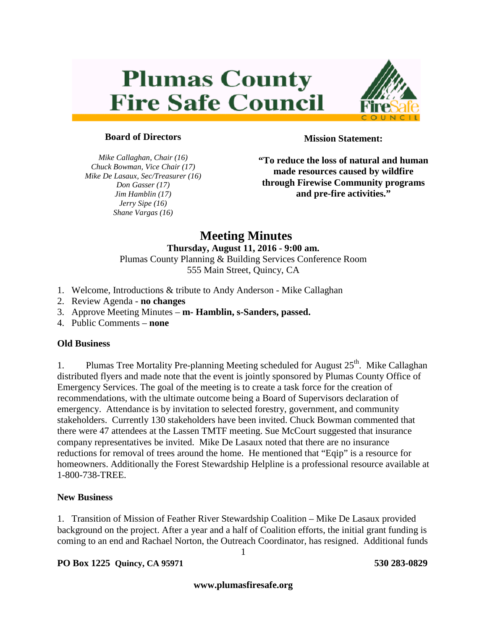# **Plumas County Fire Safe Council**



#### **Board of Directors**

*Mike Callaghan, Chair (16) Chuck Bowman, Vice Chair (17) Mike De Lasaux, Sec/Treasurer (16) Don Gasser (17) Jim Hamblin (17) Jerry Sipe (16) Shane Vargas (16)*

**Mission Statement:**

**"To reduce the loss of natural and human made resources caused by wildfire through Firewise Community programs and pre-fire activities."**

### **Meeting Minutes**

## **Thursday, August 11, 2016 - 9:00 am.**

Plumas County Planning & Building Services Conference Room 555 Main Street, Quincy, CA

- 1. Welcome, Introductions & tribute to Andy Anderson Mike Callaghan
- 2. Review Agenda **no changes**
- 3. Approve Meeting Minutes **m- Hamblin, s-Sanders, passed.**
- 4. Public Comments **none**

#### **Old Business**

1. Plumas Tree Mortality Pre-planning Meeting scheduled for August  $25<sup>th</sup>$ . Mike Callaghan distributed flyers and made note that the event is jointly sponsored by Plumas County Office of Emergency Services. The goal of the meeting is to create a task force for the creation of recommendations, with the ultimate outcome being a Board of Supervisors declaration of emergency. Attendance is by invitation to selected forestry, government, and community stakeholders. Currently 130 stakeholders have been invited. Chuck Bowman commented that there were 47 attendees at the Lassen TMTF meeting. Sue McCourt suggested that insurance company representatives be invited. Mike De Lasaux noted that there are no insurance reductions for removal of trees around the home. He mentioned that "Eqip" is a resource for homeowners. Additionally the Forest Stewardship Helpline is a professional resource available at 1-800-738-TREE.

#### **New Business**

1. Transition of Mission of Feather River Stewardship Coalition – Mike De Lasaux provided background on the project. After a year and a half of Coalition efforts, the initial grant funding is coming to an end and Rachael Norton, the Outreach Coordinator, has resigned. Additional funds

1

#### **PO Box 1225 Quincy, CA 95971 530 283-0829**

**www.plumasfiresafe.org**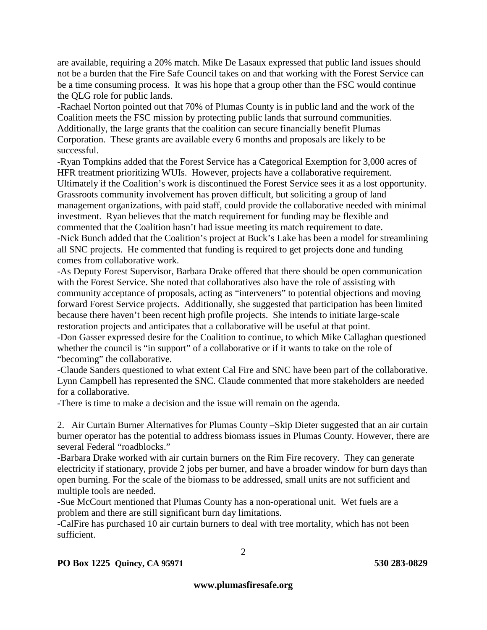are available, requiring a 20% match. Mike De Lasaux expressed that public land issues should not be a burden that the Fire Safe Council takes on and that working with the Forest Service can be a time consuming process. It was his hope that a group other than the FSC would continue the QLG role for public lands.

-Rachael Norton pointed out that 70% of Plumas County is in public land and the work of the Coalition meets the FSC mission by protecting public lands that surround communities. Additionally, the large grants that the coalition can secure financially benefit Plumas Corporation. These grants are available every 6 months and proposals are likely to be successful.

-Ryan Tompkins added that the Forest Service has a Categorical Exemption for 3,000 acres of HFR treatment prioritizing WUIs. However, projects have a collaborative requirement. Ultimately if the Coalition's work is discontinued the Forest Service sees it as a lost opportunity. Grassroots community involvement has proven difficult, but soliciting a group of land management organizations, with paid staff, could provide the collaborative needed with minimal investment. Ryan believes that the match requirement for funding may be flexible and commented that the Coalition hasn't had issue meeting its match requirement to date. -Nick Bunch added that the Coalition's project at Buck's Lake has been a model for streamlining all SNC projects. He commented that funding is required to get projects done and funding comes from collaborative work.

-As Deputy Forest Supervisor, Barbara Drake offered that there should be open communication with the Forest Service. She noted that collaboratives also have the role of assisting with community acceptance of proposals, acting as "interveners" to potential objections and moving forward Forest Service projects. Additionally, she suggested that participation has been limited because there haven't been recent high profile projects. She intends to initiate large-scale restoration projects and anticipates that a collaborative will be useful at that point.

-Don Gasser expressed desire for the Coalition to continue, to which Mike Callaghan questioned whether the council is "in support" of a collaborative or if it wants to take on the role of "becoming" the collaborative.

-Claude Sanders questioned to what extent Cal Fire and SNC have been part of the collaborative. Lynn Campbell has represented the SNC. Claude commented that more stakeholders are needed for a collaborative.

-There is time to make a decision and the issue will remain on the agenda.

2. Air Curtain Burner Alternatives for Plumas County –Skip Dieter suggested that an air curtain burner operator has the potential to address biomass issues in Plumas County. However, there are several Federal "roadblocks."

-Barbara Drake worked with air curtain burners on the Rim Fire recovery. They can generate electricity if stationary, provide 2 jobs per burner, and have a broader window for burn days than open burning. For the scale of the biomass to be addressed, small units are not sufficient and multiple tools are needed.

-Sue McCourt mentioned that Plumas County has a non-operational unit. Wet fuels are a problem and there are still significant burn day limitations.

-CalFire has purchased 10 air curtain burners to deal with tree mortality, which has not been sufficient.

2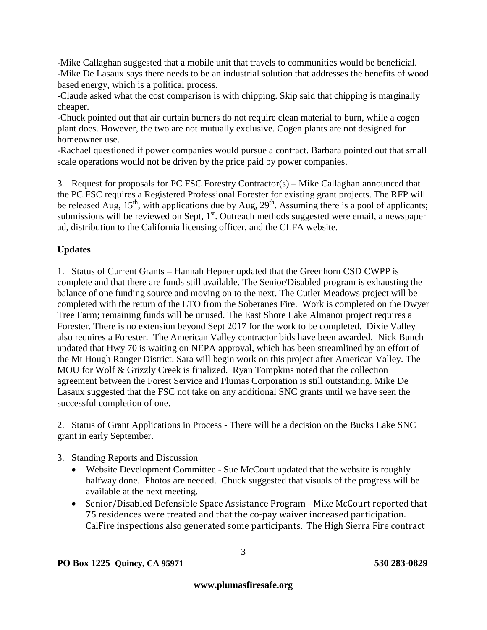-Mike Callaghan suggested that a mobile unit that travels to communities would be beneficial. -Mike De Lasaux says there needs to be an industrial solution that addresses the benefits of wood based energy, which is a political process.

-Claude asked what the cost comparison is with chipping. Skip said that chipping is marginally cheaper.

-Chuck pointed out that air curtain burners do not require clean material to burn, while a cogen plant does. However, the two are not mutually exclusive. Cogen plants are not designed for homeowner use.

-Rachael questioned if power companies would pursue a contract. Barbara pointed out that small scale operations would not be driven by the price paid by power companies.

3. Request for proposals for PC FSC Forestry Contractor(s) – Mike Callaghan announced that the PC FSC requires a Registered Professional Forester for existing grant projects. The RFP will be released Aug,  $15<sup>th</sup>$ , with applications due by Aug,  $29<sup>th</sup>$ . Assuming there is a pool of applicants; submissions will be reviewed on Sept,  $1<sup>st</sup>$ . Outreach methods suggested were email, a newspaper ad, distribution to the California licensing officer, and the CLFA website.

#### **Updates**

1. Status of Current Grants – Hannah Hepner updated that the Greenhorn CSD CWPP is complete and that there are funds still available. The Senior/Disabled program is exhausting the balance of one funding source and moving on to the next. The Cutler Meadows project will be completed with the return of the LTO from the Soberanes Fire. Work is completed on the Dwyer Tree Farm; remaining funds will be unused. The East Shore Lake Almanor project requires a Forester. There is no extension beyond Sept 2017 for the work to be completed. Dixie Valley also requires a Forester. The American Valley contractor bids have been awarded. Nick Bunch updated that Hwy 70 is waiting on NEPA approval, which has been streamlined by an effort of the Mt Hough Ranger District. Sara will begin work on this project after American Valley. The MOU for Wolf & Grizzly Creek is finalized. Ryan Tompkins noted that the collection agreement between the Forest Service and Plumas Corporation is still outstanding. Mike De Lasaux suggested that the FSC not take on any additional SNC grants until we have seen the successful completion of one.

2. Status of Grant Applications in Process - There will be a decision on the Bucks Lake SNC grant in early September.

- 3. Standing Reports and Discussion
	- Website Development Committee Sue McCourt updated that the website is roughly halfway done. Photos are needed. Chuck suggested that visuals of the progress will be available at the next meeting.
	- Senior/Disabled Defensible Space Assistance Program Mike McCourt reported that 75 residences were treated and that the co-pay waiver increased participation. CalFire inspections also generated some participants. The High Sierra Fire contract

3